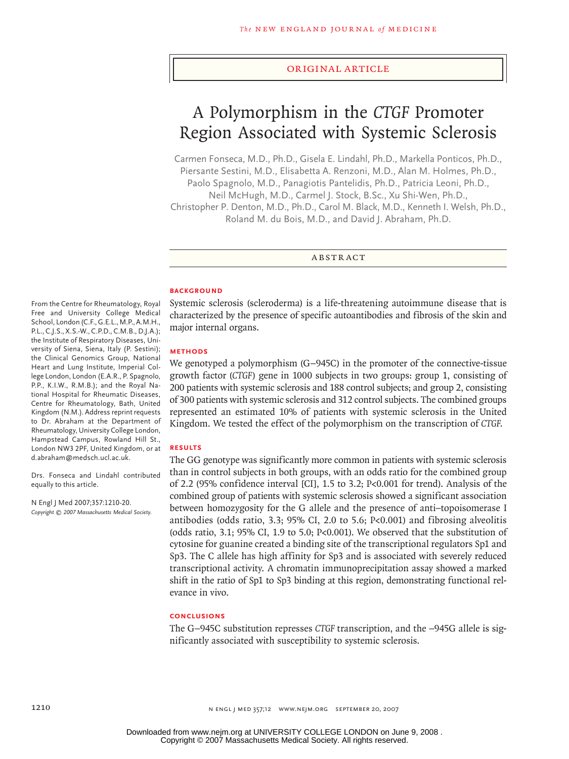#### original article

# A Polymorphism in the *CTGF* Promoter Region Associated with Systemic Sclerosis

Carmen Fonseca, M.D., Ph.D., Gisela E. Lindahl, Ph.D., Markella Ponticos, Ph.D., Piersante Sestini, M.D., Elisabetta A. Renzoni, M.D., Alan M. Holmes, Ph.D., Paolo Spagnolo, M.D., Panagiotis Pantelidis, Ph.D., Patricia Leoni, Ph.D., Neil McHugh, M.D., Carmel J. Stock, B.Sc., Xu Shi-Wen, Ph.D., Christopher P. Denton, M.D., Ph.D., Carol M. Black, M.D., Kenneth I. Welsh, Ph.D., Roland M. du Bois, M.D., and David J. Abraham, Ph.D.

**ABSTRACT** 

#### **BACKGROUND**

Systemic sclerosis (scleroderma) is a life-threatening autoimmune disease that is characterized by the presence of specific autoantibodies and fibrosis of the skin and major internal organs.

#### **Methods**

We genotyped a polymorphism (G−945C) in the promoter of the connective-tissue growth factor (*CTGF*) gene in 1000 subjects in two groups: group 1, consisting of 200 patients with systemic sclerosis and 188 control subjects; and group 2, consisting of 300 patients with systemic sclerosis and 312 control subjects. The combined groups represented an estimated 10% of patients with systemic sclerosis in the United Kingdom. We tested the effect of the polymorphism on the transcription of *CTGF*.

### **Results**

The GG genotype was significantly more common in patients with systemic sclerosis than in control subjects in both groups, with an odds ratio for the combined group of 2.2 (95% confidence interval [CI], 1.5 to 3.2; P<0.001 for trend). Analysis of the combined group of patients with systemic sclerosis showed a significant association between homozygosity for the G allele and the presence of anti–topoisomerase I antibodies (odds ratio, 3.3; 95% CI, 2.0 to 5.6; P<0.001) and fibrosing alveolitis (odds ratio, 3.1; 95% CI, 1.9 to 5.0; P<0.001). We observed that the substitution of cytosine for guanine created a binding site of the transcriptional regulators Sp1 and Sp3. The C allele has high affinity for Sp3 and is associated with severely reduced transcriptional activity. A chromatin immunoprecipitation assay showed a marked shift in the ratio of Sp1 to Sp3 binding at this region, demonstrating functional relevance in vivo.

### **Conclusions**

The G−945C substitution represses *CTGF* transcription, and the −945G allele is significantly associated with susceptibility to systemic sclerosis.

From the Centre for Rheumatology, Royal Free and University College Medical School, London (C.F., G.E.L., M.P., A.M.H., P.L., C.J.S., X.S.-W., C.P.D., C.M.B., D.J.A.); the Institute of Respiratory Diseases, University of Siena, Siena, Italy (P. Sestini); the Clinical Genomics Group, National Heart and Lung Institute, Imperial College London, London (E.A.R., P. Spagnolo, P.P., K.I.W., R.M.B.); and the Royal National Hospital for Rheumatic Diseases, Centre for Rheumatology, Bath, United Kingdom (N.M.). Address reprint requests to Dr. Abraham at the Department of Rheumatology, University College London, Hampstead Campus, Rowland Hill St., London NW3 2PF, United Kingdom, or at d.abraham@medsch.ucl.ac.uk.

Drs. Fonseca and Lindahl contributed equally to this article.

N Engl J Med 2007;357:1210-20. *Copyright © 2007 Massachusetts Medical Society.*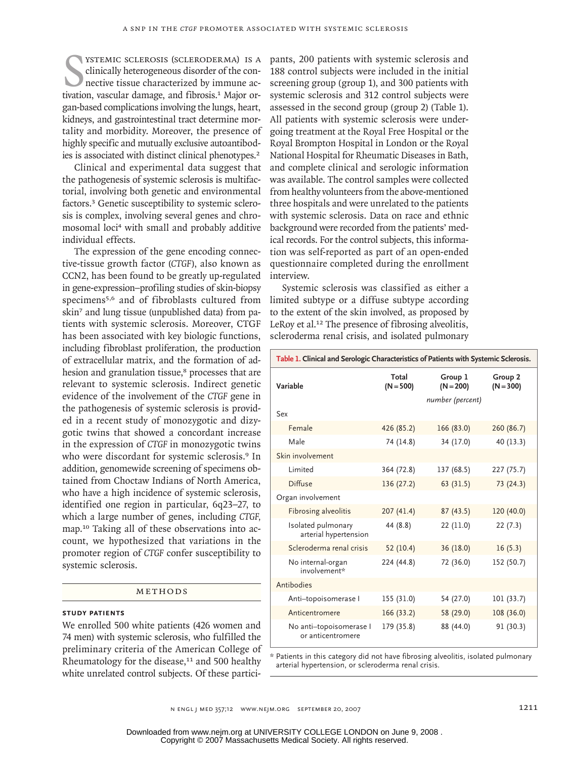STEMIC SCLEROSIS (SCLERODERMA) IS A clinically heterogeneous disorder of the connective tissue characterized by immune activation, vascular damage, and fibrosis.<sup>1</sup> Major orystemic sclerosis (scleroderma) is a clinically heterogeneous disorder of the connective tissue characterized by immune acgan-based complications involving the lungs, heart, kidneys, and gastrointestinal tract determine mortality and morbidity. Moreover, the presence of highly specific and mutually exclusive autoantibodies is associated with distinct clinical phenotypes.<sup>2</sup>

Clinical and experimental data suggest that the pathogenesis of systemic sclerosis is multifactorial, involving both genetic and environmental factors.<sup>3</sup> Genetic susceptibility to systemic sclerosis is complex, involving several genes and chromosomal loci4 with small and probably additive individual effects.

The expression of the gene encoding connective-tissue growth factor (*CTGF*), also known as CCN2, has been found to be greatly up-regulated in gene-expression–profiling studies of skin-biopsy specimens5,6 and of fibroblasts cultured from skin7 and lung tissue (unpublished data) from patients with systemic sclerosis. Moreover, CTGF has been associated with key biologic functions, including fibroblast proliferation, the production of extracellular matrix, and the formation of adhesion and granulation tissue,<sup>8</sup> processes that are relevant to systemic sclerosis. Indirect genetic evidence of the involvement of the *CTGF* gene in the pathogenesis of systemic sclerosis is provided in a recent study of monozygotic and dizygotic twins that showed a concordant increase in the expression of *CTGF* in monozygotic twins who were discordant for systemic sclerosis.<sup>9</sup> In addition, genomewide screening of specimens obtained from Choctaw Indians of North America, who have a high incidence of systemic sclerosis, identified one region in particular, 6q23–27, to which a large number of genes, including *CTGF,* map.10 Taking all of these observations into account, we hypothesized that variations in the promoter region of *CTGF* confer susceptibility to systemic sclerosis.

#### METHODS

## **Study Patients**

We enrolled 500 white patients (426 women and 74 men) with systemic sclerosis, who fulfilled the preliminary criteria of the American College of Rheumatology for the disease, $11$  and 500 healthy white unrelated control subjects. Of these participants, 200 patients with systemic sclerosis and 188 control subjects were included in the initial screening group (group 1), and 300 patients with systemic sclerosis and 312 control subjects were assessed in the second group (group 2) (Table 1). All patients with systemic sclerosis were undergoing treatment at the Royal Free Hospital or the Royal Brompton Hospital in London or the Royal National Hospital for Rheumatic Diseases in Bath, and complete clinical and serologic information was available. The control samples were collected from healthy volunteers from the above-mentioned three hospitals and were unrelated to the patients with systemic sclerosis. Data on race and ethnic background were recorded from the patients' medical records. For the control subjects, this information was self-reported as part of an open-ended questionnaire completed during the enrollment interview.

Systemic sclerosis was classified as either a limited subtype or a diffuse subtype according to the extent of the skin involved, as proposed by LeRoy et al.<sup>12</sup> The presence of fibrosing alveolitis, scleroderma renal crisis, and isolated pulmonary

| Table 1. Clinical and Serologic Characteristics of Patients with Systemic Sclerosis. |                      |                        |                        |
|--------------------------------------------------------------------------------------|----------------------|------------------------|------------------------|
| Variable                                                                             | Total<br>$(N = 500)$ | Group 1<br>$(N = 200)$ | Group 2<br>$(N = 300)$ |
|                                                                                      |                      | number (percent)       |                        |
| Sex                                                                                  |                      |                        |                        |
| Female                                                                               | 426 (85.2)           | 166 (83.0)             | 260 (86.7)             |
| Male                                                                                 | 74 (14.8)            | 34 (17.0)              | 40 (13.3)              |
| Skin involvement                                                                     |                      |                        |                        |
| Limited                                                                              | 364 (72.8)           | 137 (68.5)             | 227 (75.7)             |
| <b>Diffuse</b>                                                                       | 136 (27.2)           | 63(31.5)               | 73 (24.3)              |
| Organ involvement                                                                    |                      |                        |                        |
| Fibrosing alveolitis                                                                 | 207(41.4)            | 87(43.5)               | 120 (40.0)             |
| Isolated pulmonary<br>arterial hypertension                                          | 44 (8.8)             | 22 (11.0)              | 22(7.3)                |
| Scleroderma renal crisis                                                             | 52 (10.4)            | 36(18.0)               | 16(5.3)                |
| No internal-organ<br>involvement*                                                    | 224 (44.8)           | 72 (36.0)              | 152 (50.7)             |
| Antibodies                                                                           |                      |                        |                        |
| Anti-topoisomerase I                                                                 | 155 (31.0)           | 54 (27.0)              | 101 (33.7)             |
| Anticentromere                                                                       | 166 (33.2)           | 58 (29.0)              | 108 (36.0)             |
| No anti-topoisomerase I<br>or anticentromere                                         | 179 (35.8)           | 88 (44.0)              | 91 (30.3)              |

\* Patients in this category did not have fibrosing alveolitis, isolated pulmonary arterial hypertension, or scleroderma renal crisis.

n engl j med 357;12 www.nejm.org september 20, 2007 1211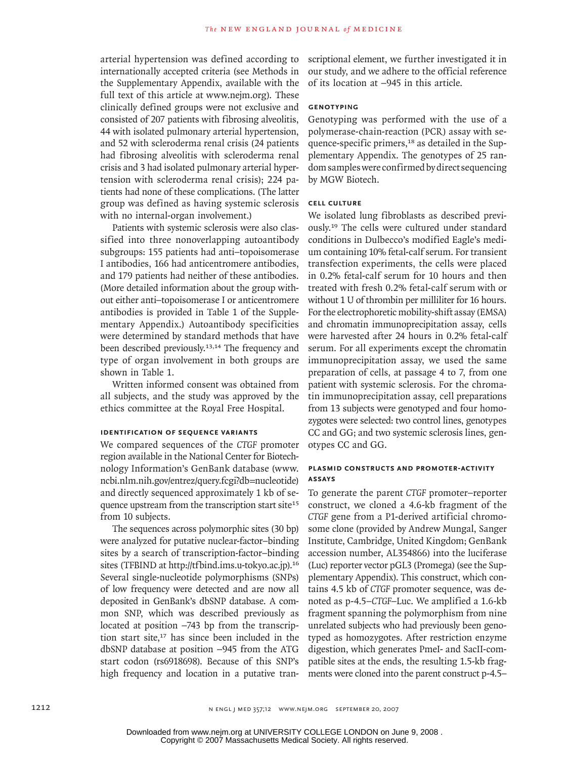arterial hypertension was defined according to internationally accepted criteria (see Methods in the Supplementary Appendix, available with the full text of this article at www.nejm.org). These clinically defined groups were not exclusive and consisted of 207 patients with fibrosing alveolitis, 44 with isolated pulmonary arterial hypertension, and 52 with scleroderma renal crisis (24 patients had fibrosing alveolitis with scleroderma renal crisis and 3 had isolated pulmonary arterial hypertension with scleroderma renal crisis); 224 patients had none of these complications. (The latter group was defined as having systemic sclerosis with no internal-organ involvement.)

Patients with systemic sclerosis were also classified into three nonoverlapping autoantibody subgroups: 155 patients had anti–topoisomerase I antibodies, 166 had anticentromere antibodies, and 179 patients had neither of these antibodies. (More detailed information about the group without either anti–topoisomerase I or anticentromere antibodies is provided in Table 1 of the Supplementary Appendix.) Autoantibody specificities were determined by standard methods that have been described previously.<sup>13,14</sup> The frequency and type of organ involvement in both groups are shown in Table 1.

Written informed consent was obtained from all subjects, and the study was approved by the ethics committee at the Royal Free Hospital.

## **Identification of Sequence Variants**

We compared sequences of the *CTGF* promoter region available in the National Center for Biotechnology Information's GenBank database (www. ncbi.nlm.nih.gov/entrez/query.fcgi?db=nucleotide) and directly sequenced approximately 1 kb of sequence upstream from the transcription start site<sup>15</sup> from 10 subjects.

The sequences across polymorphic sites (30 bp) were analyzed for putative nuclear-factor–binding sites by a search of transcription-factor–binding sites (TFBIND at http://tfbind.ims.u-tokyo.ac.jp).<sup>16</sup> Several single-nucleotide polymorphisms (SNPs) of low frequency were detected and are now all deposited in GenBank's dbSNP database. A common SNP, which was described previously as located at position −743 bp from the transcription start site, $17$  has since been included in the dbSNP database at position −945 from the ATG start codon (rs6918698). Because of this SNP's high frequency and location in a putative transcriptional element, we further investigated it in our study, and we adhere to the official reference of its location at −945 in this article.

## **Genotyping**

Genotyping was performed with the use of a polymerase-chain-reaction (PCR) assay with sequence-specific primers,18 as detailed in the Supplementary Appendix. The genotypes of 25 random samples were confirmed by direct sequencing by MGW Biotech.

## **Cell Culture**

We isolated lung fibroblasts as described previously.19 The cells were cultured under standard conditions in Dulbecco's modified Eagle's medium containing 10% fetal-calf serum. For transient transfection experiments, the cells were placed in 0.2% fetal-calf serum for 10 hours and then treated with fresh 0.2% fetal-calf serum with or without 1 U of thrombin per milliliter for 16 hours. For the electrophoretic mobility-shift assay (EMSA) and chromatin immunoprecipitation assay, cells were harvested after 24 hours in 0.2% fetal-calf serum. For all experiments except the chromatin immunoprecipitation assay, we used the same preparation of cells, at passage 4 to 7, from one patient with systemic sclerosis. For the chromatin immunoprecipitation assay, cell preparations from 13 subjects were genotyped and four homozygotes were selected: two control lines, genotypes CC and GG; and two systemic sclerosis lines, genotypes CC and GG.

## **Plasmid Constructs and Promoter-Activity Assays**

To generate the parent *CTGF* promoter–reporter construct, we cloned a 4.6-kb fragment of the *CTGF* gene from a P1-derived artificial chromosome clone (provided by Andrew Mungal, Sanger Institute, Cambridge, United Kingdom; GenBank accession number, AL354866) into the luciferase (Luc) reporter vector pGL3 (Promega) (see the Supplementary Appendix). This construct, which contains 4.5 kb of *CTGF* promoter sequence, was denoted as p-4.5–*CTGF*–Luc. We amplified a 1.6-kb fragment spanning the polymorphism from nine unrelated subjects who had previously been genotyped as homozygotes. After restriction enzyme digestion, which generates PmeI- and SacII-compatible sites at the ends, the resulting 1.5-kb fragments were cloned into the parent construct p-4.5–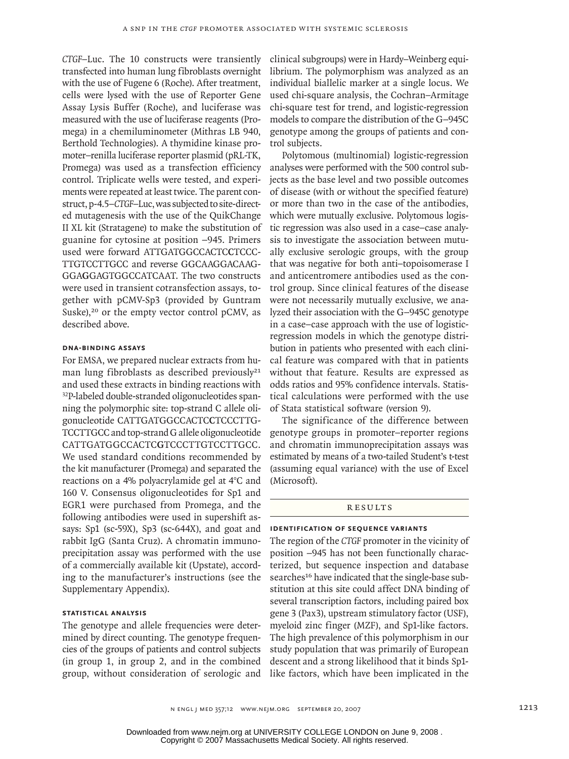*CTGF–*Luc. The 10 constructs were transiently transfected into human lung fibroblasts overnight with the use of Fugene 6 (Roche). After treatment, cells were lysed with the use of Reporter Gene Assay Lysis Buffer (Roche), and luciferase was measured with the use of luciferase reagents (Promega) in a chemiluminometer (Mithras LB 940, Berthold Technologies). A thymidine kinase promoter–renilla luciferase reporter plasmid (pRL-TK, Promega) was used as a transfection efficiency control. Triplicate wells were tested, and experiments were repeated at least twice. The parent construct, p-4.5–*CTGF*–Luc, was subjected to site-directed mutagenesis with the use of the QuikChange II XL kit (Stratagene) to make the substitution of guanine for cytosine at position −945. Primers used were forward ATTGATGGCCACTC**C**TCCC-TTGTCCTTGCC and reverse GGCAAGGACAAG-GGA**G**GAGTGGCCATCAAT. The two constructs were used in transient cotransfection assays, together with pCMV-Sp3 (provided by Guntram Suske),<sup>20</sup> or the empty vector control pCMV, as described above.

## **DNA-Binding Assays**

For EMSA, we prepared nuclear extracts from human lung fibroblasts as described previously<sup>21</sup> and used these extracts in binding reactions with <sup>32</sup>P-labeled double-stranded oligonucleotides spanning the polymorphic site: top-strand C allele oligonucleotide CATTGATGGCCACTC**C**TCCCTTG-TCCTTGCC and top-strand G allele oligonucleotide CATTGATGGCCACTC**G**TCCCTTGTCCTTGCC. We used standard conditions recommended by the kit manufacturer (Promega) and separated the reactions on a 4% polyacrylamide gel at 4°C and 160 V. Consensus oligonucleotides for Sp1 and EGR1 were purchased from Promega, and the following antibodies were used in supershift assays: Sp1 (sc-59X), Sp3 (sc-644X), and goat and rabbit IgG (Santa Cruz). A chromatin immunoprecipitation assay was performed with the use of a commercially available kit (Upstate), according to the manufacturer's instructions (see the Supplementary Appendix).

# **Statistical Analysis**

The genotype and allele frequencies were determined by direct counting. The genotype frequencies of the groups of patients and control subjects (in group 1, in group 2, and in the combined group, without consideration of serologic and clinical subgroups) were in Hardy–Weinberg equilibrium. The polymorphism was analyzed as an individual biallelic marker at a single locus. We used chi-square analysis, the Cochran–Armitage chi-square test for trend, and logistic-regression models to compare the distribution of the G−945C genotype among the groups of patients and control subjects.

Polytomous (multinomial) logistic-regression analyses were performed with the 500 control subjects as the base level and two possible outcomes of disease (with or without the specified feature) or more than two in the case of the antibodies, which were mutually exclusive. Polytomous logistic regression was also used in a case–case analysis to investigate the association between mutually exclusive serologic groups, with the group that was negative for both anti–topoisomerase I and anticentromere antibodies used as the control group. Since clinical features of the disease were not necessarily mutually exclusive, we analyzed their association with the G−945C genotype in a case–case approach with the use of logisticregression models in which the genotype distribution in patients who presented with each clinical feature was compared with that in patients without that feature. Results are expressed as odds ratios and 95% confidence intervals. Statistical calculations were performed with the use of Stata statistical software (version 9).

The significance of the difference between genotype groups in promoter–reporter regions and chromatin immunoprecipitation assays was estimated by means of a two-tailed Student's t-test (assuming equal variance) with the use of Excel (Microsoft).

# R esult s

#### **Identification of Sequence Variants**

The region of the *CTGF* promoter in the vicinity of position −945 has not been functionally characterized, but sequence inspection and database searches<sup>16</sup> have indicated that the single-base substitution at this site could affect DNA binding of several transcription factors, including paired box gene 3 (Pax3), upstream stimulatory factor (USF), myeloid zinc finger (MZF), and Sp1-like factors. The high prevalence of this polymorphism in our study population that was primarily of European descent and a strong likelihood that it binds Sp1 like factors, which have been implicated in the

n engl j med 357;12 www.nejm.org september 20, 2007 1213

Copyright © 2007 Massachusetts Medical Society. All rights reserved. Downloaded from www.nejm.org at UNIVERSITY COLLEGE LONDON on June 9, 2008 .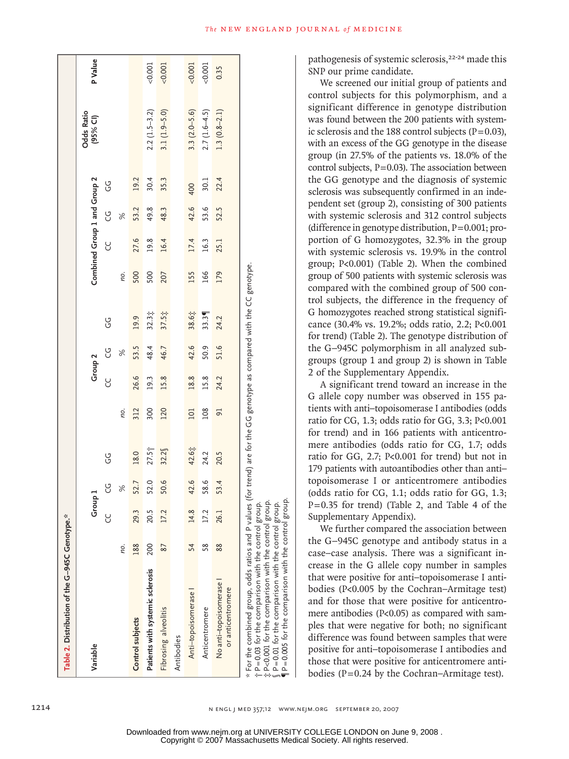| Table 2. Distribution of the G-945C Genotype.*                                                                                                                                                                                                                                                                                                                   |     |                    |                      |                   |                 |                    |               |                   |     |                              |               |        |                               |         |
|------------------------------------------------------------------------------------------------------------------------------------------------------------------------------------------------------------------------------------------------------------------------------------------------------------------------------------------------------------------|-----|--------------------|----------------------|-------------------|-----------------|--------------------|---------------|-------------------|-----|------------------------------|---------------|--------|-------------------------------|---------|
| Variable                                                                                                                                                                                                                                                                                                                                                         |     | Group <sub>1</sub> |                      |                   |                 | Group <sub>2</sub> |               |                   |     | Combined Group 1 and Group 2 |               |        | <b>Odds Ratio</b><br>(95% CI) | P Value |
|                                                                                                                                                                                                                                                                                                                                                                  |     | Y                  | ပ္ပ                  | ს<br>ს            |                 | ပ္ပ                | ပ္ပ           | ს<br>ს            |     | Y                            | ပ္ပ           | ს<br>ს |                               |         |
|                                                                                                                                                                                                                                                                                                                                                                  | пo. |                    | $\frac{1}{\sqrt{6}}$ |                   | пo.             |                    | $\frac{6}{5}$ |                   | no. |                              | $\frac{8}{3}$ |        |                               |         |
| Control subjects                                                                                                                                                                                                                                                                                                                                                 | 188 | 29.3               | 52.7                 | 18.0              | 312             | 26.6               | 53.5          | 19.9              | 500 | 27.6                         | 53.2          | 19.2   |                               |         |
| Patients with systemic sclerosis                                                                                                                                                                                                                                                                                                                                 | 200 | 20.5               | 52.0                 | 27.5 <sup>2</sup> | 300             | 19.3               | 48.4          | $32.3\ddagger$    | 500 | 19.8                         | 49.8          | 30.4   | $2.2(1.5-3.2)$                | < 0.001 |
| Fibrosing alveolitis                                                                                                                                                                                                                                                                                                                                             | 87  | 17.2               | 50.6                 | 32.2              | 120             | 15.8               | 46.7          | $37.5\frac{1}{7}$ | 207 | 16.4                         | 48.3          | 35.3   | $3.1(1.9 - 5.0)$              | 0.001   |
| Antibodies                                                                                                                                                                                                                                                                                                                                                       |     |                    |                      |                   |                 |                    |               |                   |     |                              |               |        |                               |         |
| Anti-topoisomerase                                                                                                                                                                                                                                                                                                                                               | 54  | 14.8               | 42.6                 | 42.6‡             | 101             | 18.8               | 42.6          | 38.6‡             | 155 | 17.4                         | 42.6          | 400    | $3.3(2.0 - 5.6)$              | 0.001   |
| Anticentromere                                                                                                                                                                                                                                                                                                                                                   | 58  | 17.2               | 58.6                 | 24.2              | 108             | 15.8               | 50.9          | 33.3              | 166 | 16.3                         | 53.6          | 30.1   | $2.7(1.6-4.5)$                | 0.001   |
| No anti-topoisomerase<br>or anticentromere                                                                                                                                                                                                                                                                                                                       | 88  | 26.1               | 53.4                 | 20.5              | $\overline{91}$ | 24.2               | 51.6          | 24.2              | 179 | 25.1                         | 52.5          | 22.4   | $1.3(0.8-2.1)$                | 0.35    |
| $*$ For the combined group, odds ratios and P values (for trend) are for the GG genotype as compared with the CC genotype.<br>‡ P<0.001 for the comparison with the control group.<br>『 P=0.01 for the comparison with the control group.<br>¶ P=0.005 for the comparison with the control group.<br>$\dagger$ P=0.03 for the comparison with the control group. |     |                    |                      |                   |                 |                    |               |                   |     |                              |               |        |                               |         |

pathogenesis of systemic sclerosis,<sup>22-24</sup> made this SNP our prime candidate.

We screened our initial group of patients and control subjects for this polymorphism, and a significant difference in genotype distribution was found between the 200 patients with systemic sclerosis and the 188 control subjects ( $P=0.03$ ), with an excess of the GG genotype in the disease group (in 27.5% of the patients vs. 18.0% of the control subjects, P=0.03). The association between the GG genotype and the diagnosis of systemic sclerosis was subsequently confirmed in an independent set (group 2), consisting of 300 patients with systemic sclerosis and 312 control subjects (difference in genotype distribution, P=0.001; proportion of G homozygotes, 32.3% in the group with systemic sclerosis vs. 19.9% in the control group; P<0.001) (Table 2). When the combined group of 500 patients with systemic sclerosis was compared with the combined group of 500 control subjects, the difference in the frequency of G homozygotes reached strong statistical significance (30.4% vs. 19.2%; odds ratio, 2.2; P<0.001 for trend) (Table 2). The genotype distribution of the G−945C polymorphism in all analyzed subgroups (group 1 and group 2) is shown in Table 2 of the Supplementary Appendix.

A significant trend toward an increase in the G allele copy number was observed in 155 patients with anti–topoisomerase I antibodies (odds ratio for CG, 1.3; odds ratio for GG, 3.3; P<0.001 for trend) and in 166 patients with anticentromere antibodies (odds ratio for CG, 1.7; odds ratio for GG, 2.7; P<0.001 for trend) but not in 179 patients with autoantibodies other than anti– topoisomerase I or anticentromere antibodies (odds ratio for CG, 1.1; odds ratio for GG, 1.3; P=0.35 for trend) (Table 2, and Table 4 of the Supplementary Appendix).

We further compared the association between the G−945C genotype and antibody status in a case–case analysis. There was a significant increase in the G allele copy number in samples that were positive for anti–topoisomerase I antibodies (P<0.005 by the Cochran–Armitage test) and for those that were positive for anticentromere antibodies (P<0.05) as compared with samples that were negative for both; no significant difference was found between samples that were positive for anti–topoisomerase I antibodies and those that were positive for anticentromere antibodies ( $P = 0.24$  by the Cochran–Armitage test).

1214 n engl j med 357;12 www.nejm.org september 20, 2007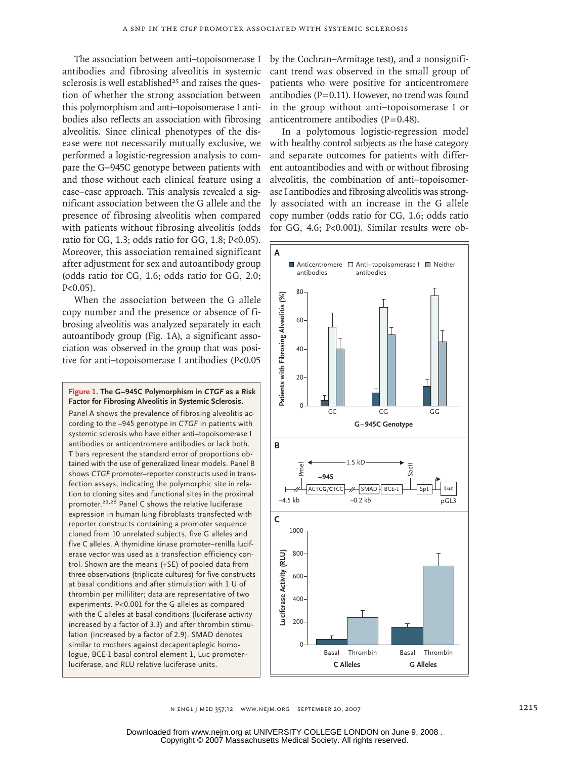The association between anti–topoisomerase I antibodies and fibrosing alveolitis in systemic sclerosis is well established<sup>25</sup> and raises the question of whether the strong association between this polymorphism and anti–topoisomerase I antibodies also reflects an association with fibrosing alveolitis. Since clinical phenotypes of the disease were not necessarily mutually exclusive, we performed a logistic-regression analysis to compare the G−945C genotype between patients with and those without each clinical feature using a case–case approach. This analysis revealed a significant association between the G allele and the presence of fibrosing alveolitis when compared with patients without fibrosing alveolitis (odds ratio for CG, 1.3; odds ratio for GG, 1.8; P<0.05). Moreover, this association remained significant after adjustment for sex and autoantibody group (odds ratio for CG, 1.6; odds ratio for GG, 2.0; P<0.05).

When the association between the G allele copy number and the presence or absence of fibrosing alveolitis was analyzed separately in each autoantibody group (Fig. 1A), a significant association was observed in the group that was positive for anti–topoisomerase I antibodies (P<0.05

**Figure 1. The G−945C Polymorphism in** *CTGF* **as a Risk Factor for Fibrosing Alveolitis in Systemic Sclerosis.**

Panel A shows the prevalence of fibrosing alveolitis according to the −945 genotype in *CTGF* in patients with systemic sclerosis who have either anti–topoisomerase I antibodies or anticentromere antibodies or lack both. T bars represent the standard error of proportions obtained with the use of generalized linear models. Panel B shows *CTGF* promoter–reporter constructs used in transfection assays, indicating the polymorphic site in relation to cloning sites and functional sites in the proximal promoter.23,26 Panel C shows the relative luciferase expression in human lung fibroblasts transfected with reporter constructs containing a promoter sequence cloned from 10 unrelated subjects, five G alleles and five C alleles. A thymidine kinase promoter–renilla luciferase vector was used as a transfection efficiency control. Shown are the means (+SE) of pooled data from three observations (triplicate cultures) for five constructs at basal conditions and after stimulation with 1 U of thrombin per milliliter; data are representative of two experiments. P<0.001 for the G alleles as compared with the C alleles at basal conditions (luciferase activity increased by a factor of 3.3) and after thrombin stimulation (increased by a factor of 2.9). SMAD denotes similar to mothers against decapentaplegic homologue, BCE-1 basal control element 1, Luc promoter– luciferase, and RLU relative luciferase units.

by the Cochran–Armitage test), and a nonsignificant trend was observed in the small group of patients who were positive for anticentromere antibodies ( $P=0.11$ ). However, no trend was found in the group without anti–topoisomerase I or anticentromere antibodies (P=0.48).

In a polytomous logistic-regression model with healthy control subjects as the base category and separate outcomes for patients with different autoantibodies and with or without fibrosing alveolitis, the combination of anti–topoisomerase I antibodies and fibrosing alveolitis was strongly associated with an increase in the G allele copy number (odds ratio for CG, 1.6; odds ratio for GG, 4.6; P<0.001). Similar results were ob-



n engl j med 357;12 www.nejm.org september 20, 2007 1215 Abraham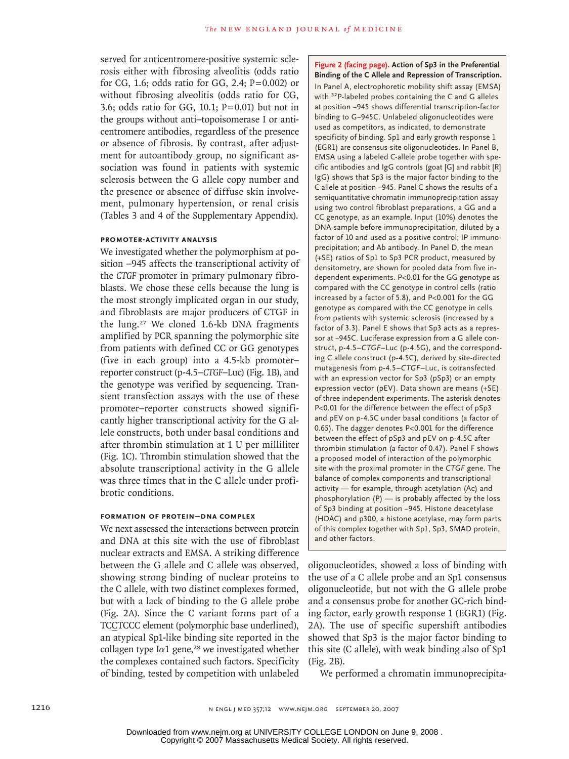served for anticentromere-positive systemic sclerosis either with fibrosing alveolitis (odds ratio for CG, 1.6; odds ratio for GG, 2.4;  $P=0.002$ ) or without fibrosing alveolitis (odds ratio for CG, 3.6; odds ratio for GG, 10.1;  $P=0.01$ ) but not in the groups without anti–topoisomerase I or anticentromere antibodies, regardless of the presence or absence of fibrosis. By contrast, after adjustment for autoantibody group, no significant association was found in patients with systemic sclerosis between the G allele copy number and the presence or absence of diffuse skin involvement, pulmonary hypertension, or renal crisis (Tables 3 and 4 of the Supplementary Appendix).

# **Promoter-Activity Analysis**

We investigated whether the polymorphism at position −945 affects the transcriptional activity of the *CTGF* promoter in primary pulmonary fibroblasts. We chose these cells because the lung is the most strongly implicated organ in our study, and fibroblasts are major producers of CTGF in the lung.27 We cloned 1.6-kb DNA fragments amplified by PCR spanning the polymorphic site from patients with defined CC or GG genotypes (five in each group) into a 4.5-kb promoter– reporter construct (p-4.5–*CTGF*–Luc) (Fig. 1B), and the genotype was verified by sequencing. Transient transfection assays with the use of these promoter–reporter constructs showed significantly higher transcriptional activity for the G allele constructs, both under basal conditions and after thrombin stimulation at 1 U per milliliter (Fig. 1C). Thrombin stimulation showed that the absolute transcriptional activity in the G allele was three times that in the C allele under profibrotic conditions.

## **Formation of Protein–DNA Complex**

We next assessed the interactions between protein and DNA at this site with the use of fibroblast nuclear extracts and EMSA. A striking difference between the G allele and C allele was observed, showing strong binding of nuclear proteins to the C allele, with two distinct complexes formed, but with a lack of binding to the G allele probe (Fig. 2A). Since the C variant forms part of a TCCTCCC element (polymorphic base underlined), an atypical Sp1-like binding site reported in the collagen type I $\alpha$ 1 gene,<sup>28</sup> we investigated whether the complexes contained such factors. Specificity of binding, tested by competition with unlabeled

**Figure 2 (facing page). Action of Sp3 in the Preferential Binding of the C Allele and Repression of Transcription.** In Panel A, electrophoretic mobility shift assay (EMSA) with <sup>32</sup>P-labeled probes containing the C and G alleles at position −945 shows differential transcription-factor binding to G−945C. Unlabeled oligonucleotides were used as competitors, as indicated, to demonstrate specificity of binding. Sp1 and early growth response 1 (EGR1) are consensus site oligonucleotides. In Panel B, EMSA using a labeled C-allele probe together with specific antibodies and IgG controls (goat [G] and rabbit [R] IgG) shows that Sp3 is the major factor binding to the C allele at position −945. Panel C shows the results of a semiquantitative chromatin immunoprecipitation assay using two control fibroblast preparations, a GG and a CC genotype, as an example. Input (10%) denotes the DNA sample before immunoprecipitation, diluted by a factor of 10 and used as a positive control; IP immunoprecipitation; and Ab antibody. In Panel D, the mean (+SE) ratios of Sp1 to Sp3 PCR product, measured by densitometry, are shown for pooled data from five independent experiments. P<0.01 for the GG genotype as compared with the CC genotype in control cells (ratio increased by a factor of 5.8), and P<0.001 for the GG genotype as compared with the CC genotype in cells from patients with systemic sclerosis (increased by a factor of 3.3). Panel E shows that Sp3 acts as a repressor at −945C. Luciferase expression from a G allele construct, p-4.5–*CTGF*–Luc (p-4.5G), and the corresponding C allele construct (p-4.5C), derived by site-directed mutagenesis from p-4.5–*CTGF*–Luc, is cotransfected with an expression vector for Sp3 (pSp3) or an empty expression vector (pEV). Data shown are means (+SE) of three independent experiments. The asterisk denotes P<0.01 for the difference between the effect of pSp3 and pEV on p-4.5C under basal conditions (a factor of 0.65). The dagger denotes P<0.001 for the difference between the effect of pSp3 and pEV on p-4.5C after thrombin stimulation (a factor of 0.47). Panel F shows a proposed model of interaction of the polymorphic site with the proximal promoter in the *CTGF* gene. The balance of complex components and transcriptional activity — for example, through acetylation (Ac) and phosphorylation (P) — is probably affected by the loss of Sp3 binding at position −945. Histone deacetylase (HDAC) and p300, a histone acetylase, may form parts of this complex together with Sp1, Sp3, SMAD protein, and other factors.

oligonucleotides, showed a loss of binding with the use of a C allele probe and an Sp1 consensus oligonucleotide, but not with the G allele probe and a consensus probe for another GC-rich binding factor, early growth response 1 (EGR1) (Fig. 2A). The use of specific supershift antibodies showed that Sp3 is the major factor binding to this site (C allele), with weak binding also of Sp1 (Fig. 2B).

We performed a chromatin immunoprecipita-

Copyright © 2007 Massachusetts Medical Society. All rights reserved. Downloaded from www.nejm.org at UNIVERSITY COLLEGE LONDON on June 9, 2008 .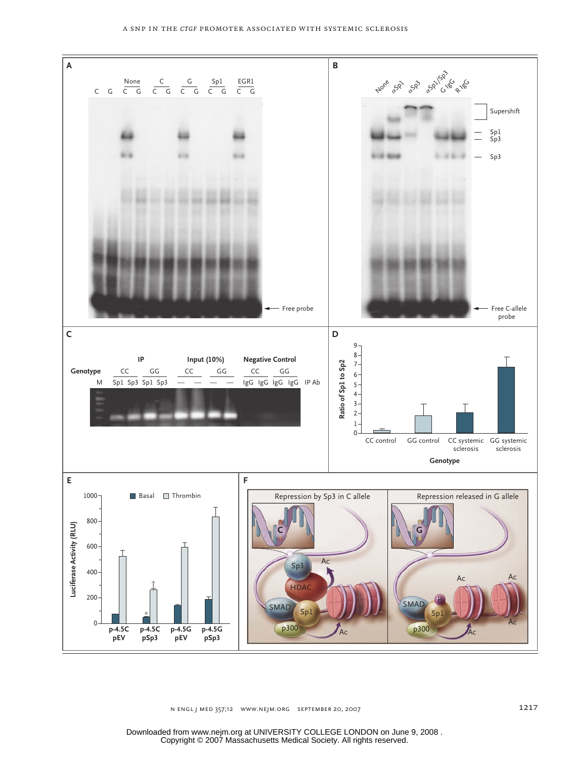

N ENGL J MED 357;12 WWW.NEJM.ORG SEPTEMBER 20, 2007 H/T EMail Line H/T ARTIST: ts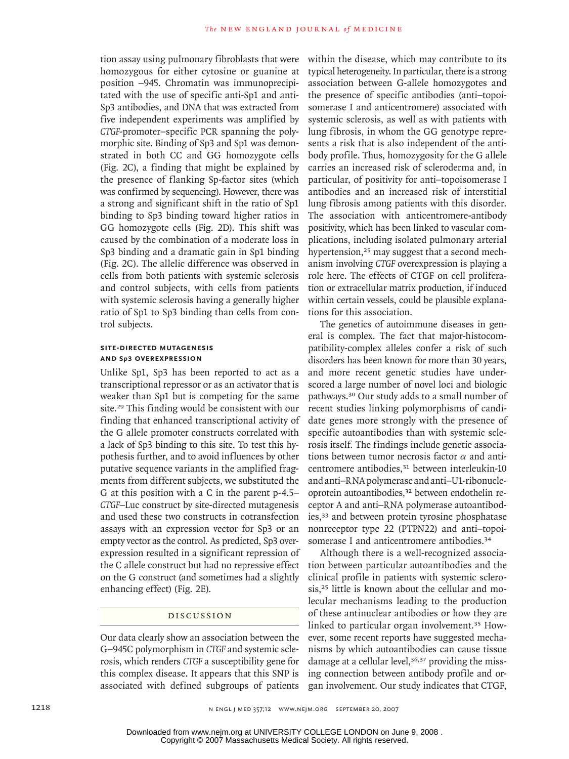tion assay using pulmonary fibroblasts that were homozygous for either cytosine or guanine at position −945. Chromatin was immunoprecipitated with the use of specific anti-Sp1 and anti-Sp3 antibodies, and DNA that was extracted from five independent experiments was amplified by *CTGF-*promoter–specific PCR spanning the polymorphic site. Binding of Sp3 and Sp1 was demonstrated in both CC and GG homozygote cells (Fig. 2C), a finding that might be explained by the presence of flanking Sp-factor sites (which was confirmed by sequencing). However, there was a strong and significant shift in the ratio of Sp1 binding to Sp3 binding toward higher ratios in GG homozygote cells (Fig. 2D). This shift was caused by the combination of a moderate loss in Sp3 binding and a dramatic gain in Sp1 binding (Fig. 2C). The allelic difference was observed in cells from both patients with systemic sclerosis and control subjects, with cells from patients with systemic sclerosis having a generally higher ratio of Sp1 to Sp3 binding than cells from control subjects.

# **Site-Directed Mutagenesis and Sp3 Overexpression**

Unlike Sp1, Sp3 has been reported to act as a transcriptional repressor or as an activator that is weaker than Sp1 but is competing for the same site.29 This finding would be consistent with our finding that enhanced transcriptional activity of the G allele promoter constructs correlated with a lack of Sp3 binding to this site. To test this hypothesis further, and to avoid influences by other putative sequence variants in the amplified fragments from different subjects, we substituted the G at this position with a C in the parent p-4.5– *CTGF*–Luc construct by site-directed mutagenesis and used these two constructs in cotransfection assays with an expression vector for Sp3 or an empty vector as the control. As predicted, Sp3 overexpression resulted in a significant repression of the C allele construct but had no repressive effect on the G construct (and sometimes had a slightly enhancing effect) (Fig. 2E).

## Discussion

Our data clearly show an association between the G−945C polymorphism in *CTGF* and systemic sclerosis, which renders *CTGF* a susceptibility gene for this complex disease. It appears that this SNP is associated with defined subgroups of patients within the disease, which may contribute to its typical heterogeneity. In particular, there is a strong association between G-allele homozygotes and the presence of specific antibodies (anti–topoisomerase I and anticentromere) associated with systemic sclerosis, as well as with patients with lung fibrosis, in whom the GG genotype represents a risk that is also independent of the antibody profile. Thus, homozygosity for the G allele carries an increased risk of scleroderma and, in particular, of positivity for anti–topoisomerase I antibodies and an increased risk of interstitial lung fibrosis among patients with this disorder. The association with anticentromere-antibody positivity, which has been linked to vascular complications, including isolated pulmonary arterial hypertension,<sup>25</sup> may suggest that a second mechanism involving *CTGF* overexpression is playing a role here. The effects of CTGF on cell proliferation or extracellular matrix production, if induced within certain vessels, could be plausible explanations for this association.

The genetics of autoimmune diseases in general is complex. The fact that major-histocompatibility-complex alleles confer a risk of such disorders has been known for more than 30 years, and more recent genetic studies have underscored a large number of novel loci and biologic pathways.30 Our study adds to a small number of recent studies linking polymorphisms of candidate genes more strongly with the presence of specific autoantibodies than with systemic sclerosis itself. The findings include genetic associations between tumor necrosis factor  $\alpha$  and anticentromere antibodies,<sup>31</sup> between interleukin-10 and anti–RNA polymerase and anti–U1-ribonucleoprotein autoantibodies,32 between endothelin receptor A and anti–RNA polymerase autoantibodies,<sup>33</sup> and between protein tyrosine phosphatase nonreceptor type 22 (PTPN22) and anti–topoisomerase I and anticentromere antibodies.<sup>34</sup>

Although there is a well-recognized association between particular autoantibodies and the clinical profile in patients with systemic sclerosis,25 little is known about the cellular and molecular mechanisms leading to the production of these antinuclear antibodies or how they are linked to particular organ involvement.35 However, some recent reports have suggested mechanisms by which autoantibodies can cause tissue damage at a cellular level, $36,37$  providing the missing connection between antibody profile and organ involvement. Our study indicates that CTGF,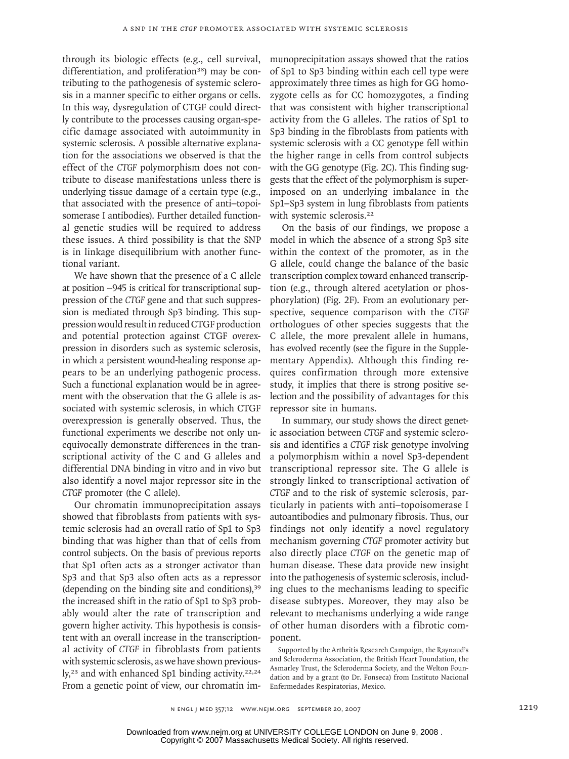through its biologic effects (e.g., cell survival, differentiation, and proliferation<sup>38</sup>) may be contributing to the pathogenesis of systemic sclerosis in a manner specific to either organs or cells. In this way, dysregulation of CTGF could directly contribute to the processes causing organ-specific damage associated with autoimmunity in systemic sclerosis. A possible alternative explanation for the associations we observed is that the effect of the *CTGF* polymorphism does not contribute to disease manifestations unless there is underlying tissue damage of a certain type (e.g., that associated with the presence of anti–topoisomerase I antibodies). Further detailed functional genetic studies will be required to address these issues. A third possibility is that the SNP is in linkage disequilibrium with another functional variant.

We have shown that the presence of a C allele at position −945 is critical for transcriptional suppression of the *CTGF* gene and that such suppression is mediated through Sp3 binding. This suppression would result in reduced CTGF production and potential protection against CTGF overexpression in disorders such as systemic sclerosis, in which a persistent wound-healing response appears to be an underlying pathogenic process. Such a functional explanation would be in agreement with the observation that the G allele is associated with systemic sclerosis, in which CTGF overexpression is generally observed. Thus, the functional experiments we describe not only unequivocally demonstrate differences in the transcriptional activity of the C and G alleles and differential DNA binding in vitro and in vivo but also identify a novel major repressor site in the *CTGF* promoter (the C allele).

Our chromatin immunoprecipitation assays showed that fibroblasts from patients with systemic sclerosis had an overall ratio of Sp1 to Sp3 binding that was higher than that of cells from control subjects. On the basis of previous reports that Sp1 often acts as a stronger activator than Sp3 and that Sp3 also often acts as a repressor (depending on the binding site and conditions),<sup>39</sup> the increased shift in the ratio of Sp1 to Sp3 probably would alter the rate of transcription and govern higher activity. This hypothesis is consistent with an overall increase in the transcriptional activity of *CTGF* in fibroblasts from patients with systemic sclerosis, as we have shown previously,<sup>23</sup> and with enhanced Sp1 binding activity.<sup>22,24</sup> From a genetic point of view, our chromatin immunoprecipitation assays showed that the ratios of Sp1 to Sp3 binding within each cell type were approximately three times as high for GG homozygote cells as for CC homozygotes, a finding that was consistent with higher transcriptional activity from the G alleles. The ratios of Sp1 to Sp3 binding in the fibroblasts from patients with systemic sclerosis with a CC genotype fell within the higher range in cells from control subjects with the GG genotype (Fig. 2C). This finding suggests that the effect of the polymorphism is superimposed on an underlying imbalance in the Sp1–Sp3 system in lung fibroblasts from patients with systemic sclerosis.<sup>22</sup>

On the basis of our findings, we propose a model in which the absence of a strong Sp3 site within the context of the promoter, as in the G allele, could change the balance of the basic transcription complex toward enhanced transcription (e.g., through altered acetylation or phosphorylation) (Fig. 2F). From an evolutionary perspective, sequence comparison with the *CTGF* orthologues of other species suggests that the C allele, the more prevalent allele in humans, has evolved recently (see the figure in the Supplementary Appendix). Although this finding requires confirmation through more extensive study, it implies that there is strong positive selection and the possibility of advantages for this repressor site in humans.

In summary, our study shows the direct genetic association between *CTGF* and systemic sclerosis and identifies a *CTGF* risk genotype involving a polymorphism within a novel Sp3-dependent transcriptional repressor site. The G allele is strongly linked to transcriptional activation of *CTGF* and to the risk of systemic sclerosis, particularly in patients with anti–topoisomerase I autoantibodies and pulmonary fibrosis. Thus, our findings not only identify a novel regulatory mechanism governing *CTGF* promoter activity but also directly place *CTGF* on the genetic map of human disease. These data provide new insight into the pathogenesis of systemic sclerosis, including clues to the mechanisms leading to specific disease subtypes. Moreover, they may also be relevant to mechanisms underlying a wide range of other human disorders with a fibrotic component.

Supported by the Arthritis Research Campaign, the Raynaud's and Scleroderma Association, the British Heart Foundation, the Asmarley Trust, the Scleroderma Society, and the Welton Foundation and by a grant (to Dr. Fonseca) from Instituto Nacional Enfermedades Respiratorias, Mexico.